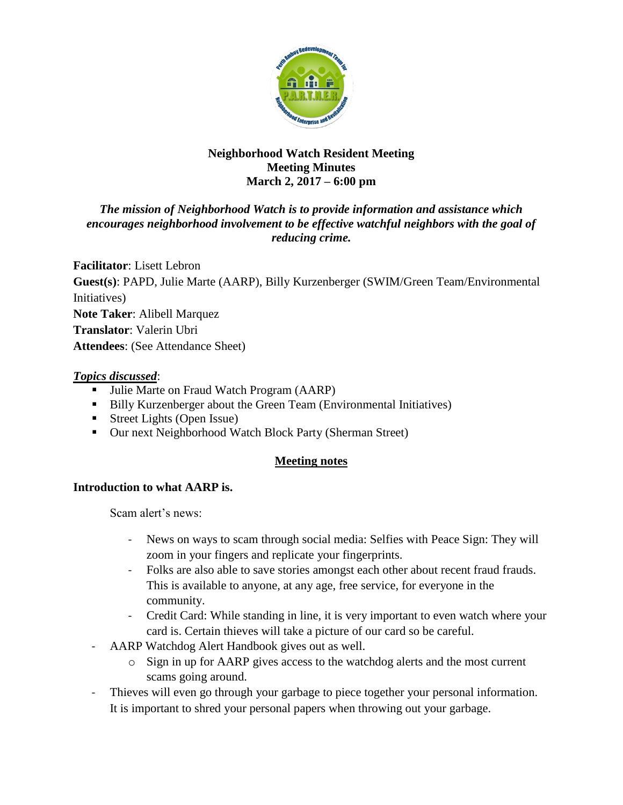

### **Neighborhood Watch Resident Meeting Meeting Minutes March 2, 2017 – 6:00 pm**

### *The mission of Neighborhood Watch is to provide information and assistance which encourages neighborhood involvement to be effective watchful neighbors with the goal of reducing crime.*

**Facilitator**: Lisett Lebron **Guest(s)**: PAPD, Julie Marte (AARP), Billy Kurzenberger (SWIM/Green Team/Environmental Initiatives) **Note Taker**: Alibell Marquez **Translator**: Valerin Ubri **Attendees**: (See Attendance Sheet)

### *Topics discussed*:

- Julie Marte on Fraud Watch Program (AARP)
- Billy Kurzenberger about the Green Team (Environmental Initiatives)
- Street Lights (Open Issue)
- Our next Neighborhood Watch Block Party (Sherman Street)

## **Meeting notes**

# **Introduction to what AARP is.**

Scam alert's news:

- News on ways to scam through social media: Selfies with Peace Sign: They will zoom in your fingers and replicate your fingerprints.
- Folks are also able to save stories amongst each other about recent fraud frauds. This is available to anyone, at any age, free service, for everyone in the community.
- Credit Card: While standing in line, it is very important to even watch where your card is. Certain thieves will take a picture of our card so be careful.
- AARP Watchdog Alert Handbook gives out as well.
	- o Sign in up for AARP gives access to the watchdog alerts and the most current scams going around.
- Thieves will even go through your garbage to piece together your personal information. It is important to shred your personal papers when throwing out your garbage.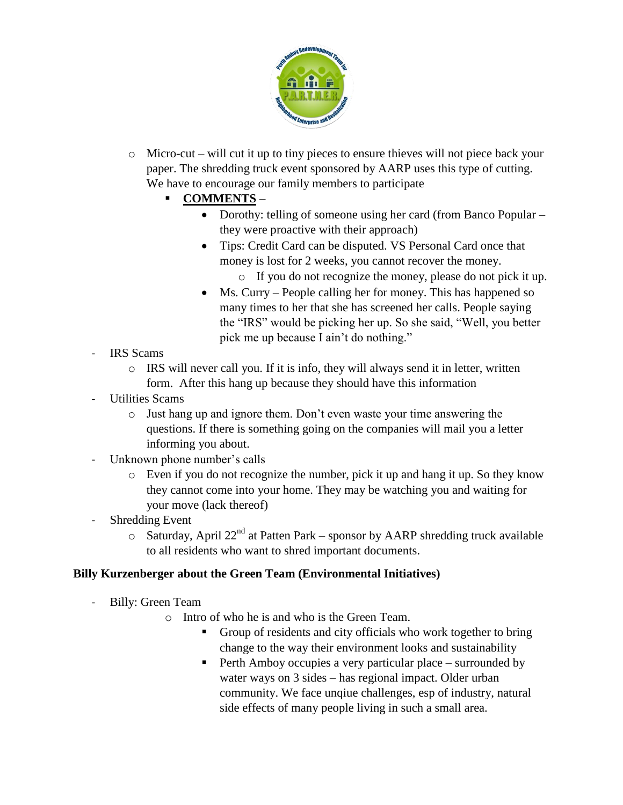

o Micro-cut – will cut it up to tiny pieces to ensure thieves will not piece back your paper. The shredding truck event sponsored by AARP uses this type of cutting. We have to encourage our family members to participate

# **COMMENTS** –

- Dorothy: telling of someone using her card (from Banco Popular they were proactive with their approach)
- Tips: Credit Card can be disputed. VS Personal Card once that money is lost for 2 weeks, you cannot recover the money.
	- o If you do not recognize the money, please do not pick it up.
- Ms. Curry People calling her for money. This has happened so many times to her that she has screened her calls. People saying the "IRS" would be picking her up. So she said, "Well, you better pick me up because I ain't do nothing."
- IRS Scams
	- o IRS will never call you. If it is info, they will always send it in letter, written form. After this hang up because they should have this information
- Utilities Scams
	- o Just hang up and ignore them. Don't even waste your time answering the questions. If there is something going on the companies will mail you a letter informing you about.
- Unknown phone number's calls
	- o Even if you do not recognize the number, pick it up and hang it up. So they know they cannot come into your home. They may be watching you and waiting for your move (lack thereof)
- Shredding Event
	- $\circ$  Saturday, April 22<sup>nd</sup> at Patten Park sponsor by AARP shredding truck available to all residents who want to shred important documents.

## **Billy Kurzenberger about the Green Team (Environmental Initiatives)**

- Billy: Green Team
	- o Intro of who he is and who is the Green Team.
		- Group of residents and city officials who work together to bring change to the way their environment looks and sustainability
		- **Perth Amboy occupies a very particular place surrounded by** water ways on 3 sides – has regional impact. Older urban community. We face unqiue challenges, esp of industry, natural side effects of many people living in such a small area.